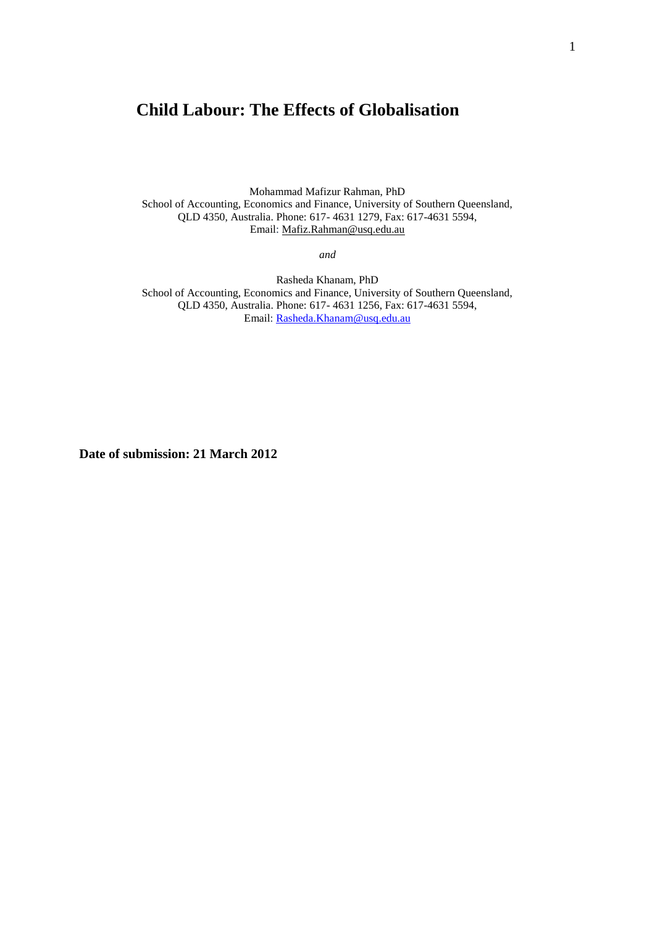# **Child Labour: The Effects of Globalisation**

Mohammad Mafizur Rahman, PhD School of Accounting, Economics and Finance, University of Southern Queensland, QLD 4350, Australia. Phone: 617- 4631 1279, Fax: 617-4631 5594, Email: [Mafiz.Rahman@usq.edu.au](mailto:Mafiz.Rahman@usq.edu.au)

*and*

Rasheda Khanam, PhD School of Accounting, Economics and Finance, University of Southern Queensland, QLD 4350, Australia. Phone: 617- 4631 1256, Fax: 617-4631 5594, Email: [Rasheda.Khanam@usq.edu.au](mailto:Rasheda.Khanam@usq.edu.au)

**Date of submission: 21 March 2012**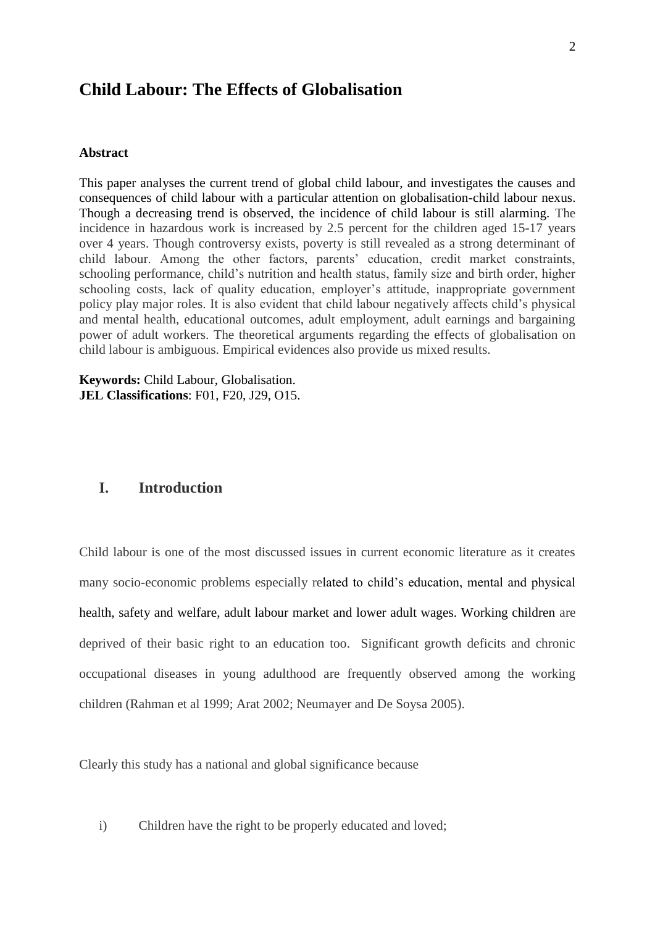# **Child Labour: The Effects of Globalisation**

#### **Abstract**

This paper analyses the current trend of global child labour, and investigates the causes and consequences of child labour with a particular attention on globalisation-child labour nexus. Though a decreasing trend is observed, the incidence of child labour is still alarming. The incidence in hazardous work is increased by 2.5 percent for the children aged 15-17 years over 4 years. Though controversy exists, poverty is still revealed as a strong determinant of child labour. Among the other factors, parents' education, credit market constraints, schooling performance, child's nutrition and health status, family size and birth order, higher schooling costs, lack of quality education, employer's attitude, inappropriate government policy play major roles. It is also evident that child labour negatively affects child's physical and mental health, educational outcomes, adult employment, adult earnings and bargaining power of adult workers. The theoretical arguments regarding the effects of globalisation on child labour is ambiguous. Empirical evidences also provide us mixed results.

**Keywords:** Child Labour, Globalisation. **JEL Classifications**: F01, F20, J29, O15.

# **I. Introduction**

Child labour is one of the most discussed issues in current economic literature as it creates many socio-economic problems especially related to child's education, mental and physical health, safety and welfare, adult labour market and lower adult wages. Working children are deprived of their basic right to an education too. Significant growth deficits and chronic occupational diseases in young adulthood are frequently observed among the working children (Rahman et al 1999; Arat 2002; Neumayer and De Soysa 2005).

Clearly this study has a national and global significance because

i) Children have the right to be properly educated and loved;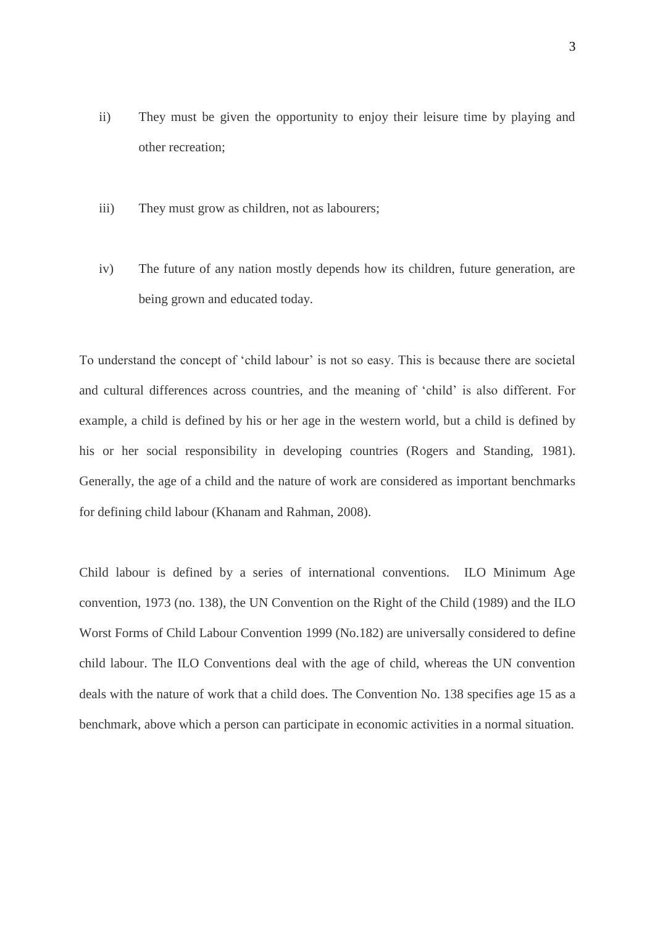- ii) They must be given the opportunity to enjoy their leisure time by playing and other recreation;
- iii) They must grow as children, not as labourers;
- iv) The future of any nation mostly depends how its children, future generation, are being grown and educated today.

To understand the concept of 'child labour' is not so easy. This is because there are societal and cultural differences across countries, and the meaning of 'child' is also different. For example, a child is defined by his or her age in the western world, but a child is defined by his or her social responsibility in developing countries (Rogers and Standing, 1981). Generally, the age of a child and the nature of work are considered as important benchmarks for defining child labour (Khanam and Rahman, 2008).

Child labour is defined by a series of international conventions. ILO Minimum Age convention, 1973 (no. 138), the UN Convention on the Right of the Child (1989) and the ILO Worst Forms of Child Labour Convention 1999 (No.182) are universally considered to define child labour. The ILO Conventions deal with the age of child, whereas the UN convention deals with the nature of work that a child does. The Convention No. 138 specifies age 15 as a benchmark, above which a person can participate in economic activities in a normal situation.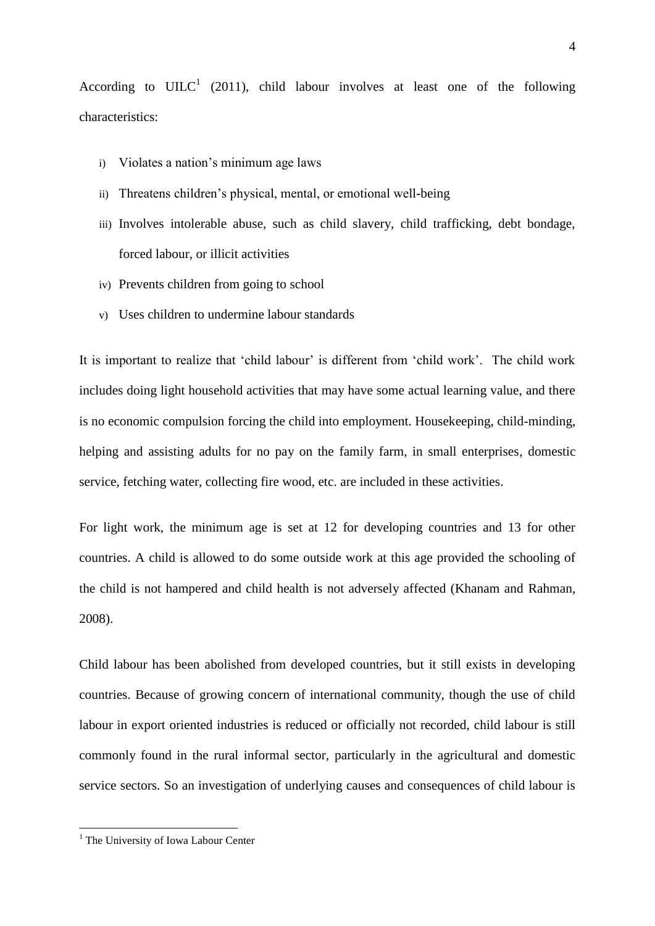According to UILC<sup>1</sup> (2011), child labour involves at least one of the following characteristics:

- i) Violates a nation's minimum age laws
- ii) Threatens children's physical, mental, or emotional well-being
- iii) Involves intolerable abuse, such as child slavery, child trafficking, debt bondage, forced labour, or illicit activities
- iv) Prevents children from going to school
- v) Uses children to undermine labour standards

It is important to realize that 'child labour' is different from 'child work'. The child work includes doing light household activities that may have some actual learning value, and there is no economic compulsion forcing the child into employment. Housekeeping, child-minding, helping and assisting adults for no pay on the family farm, in small enterprises, domestic service, fetching water, collecting fire wood, etc. are included in these activities.

For light work, the minimum age is set at 12 for developing countries and 13 for other countries. A child is allowed to do some outside work at this age provided the schooling of the child is not hampered and child health is not adversely affected (Khanam and Rahman, 2008).

Child labour has been abolished from developed countries, but it still exists in developing countries. Because of growing concern of international community, though the use of child labour in export oriented industries is reduced or officially not recorded, child labour is still commonly found in the rural informal sector, particularly in the agricultural and domestic service sectors. So an investigation of underlying causes and consequences of child labour is

1

<sup>&</sup>lt;sup>1</sup> The University of Iowa Labour Center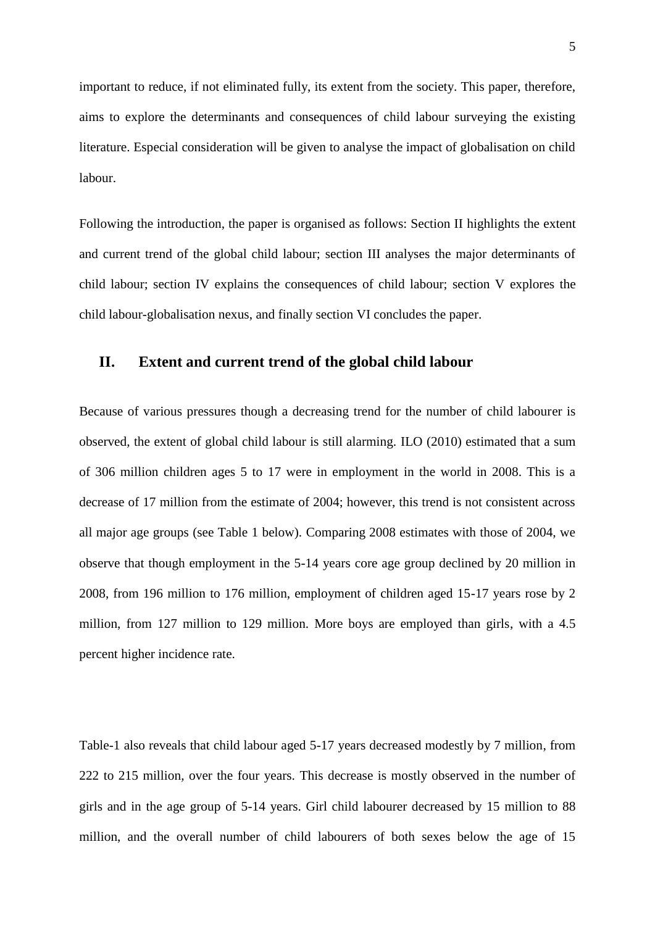important to reduce, if not eliminated fully, its extent from the society. This paper, therefore, aims to explore the determinants and consequences of child labour surveying the existing literature. Especial consideration will be given to analyse the impact of globalisation on child labour.

Following the introduction, the paper is organised as follows: Section II highlights the extent and current trend of the global child labour; section III analyses the major determinants of child labour; section IV explains the consequences of child labour; section V explores the child labour-globalisation nexus, and finally section VI concludes the paper.

### **II. Extent and current trend of the global child labour**

Because of various pressures though a decreasing trend for the number of child labourer is observed, the extent of global child labour is still alarming. ILO (2010) estimated that a sum of 306 million children ages 5 to 17 were in employment in the world in 2008. This is a decrease of 17 million from the estimate of 2004; however, this trend is not consistent across all major age groups (see Table 1 below). Comparing 2008 estimates with those of 2004, we observe that though employment in the 5-14 years core age group declined by 20 million in 2008, from 196 million to 176 million, employment of children aged 15-17 years rose by 2 million, from 127 million to 129 million. More boys are employed than girls, with a 4.5 percent higher incidence rate.

Table-1 also reveals that child labour aged 5-17 years decreased modestly by 7 million, from 222 to 215 million, over the four years. This decrease is mostly observed in the number of girls and in the age group of 5-14 years. Girl child labourer decreased by 15 million to 88 million, and the overall number of child labourers of both sexes below the age of 15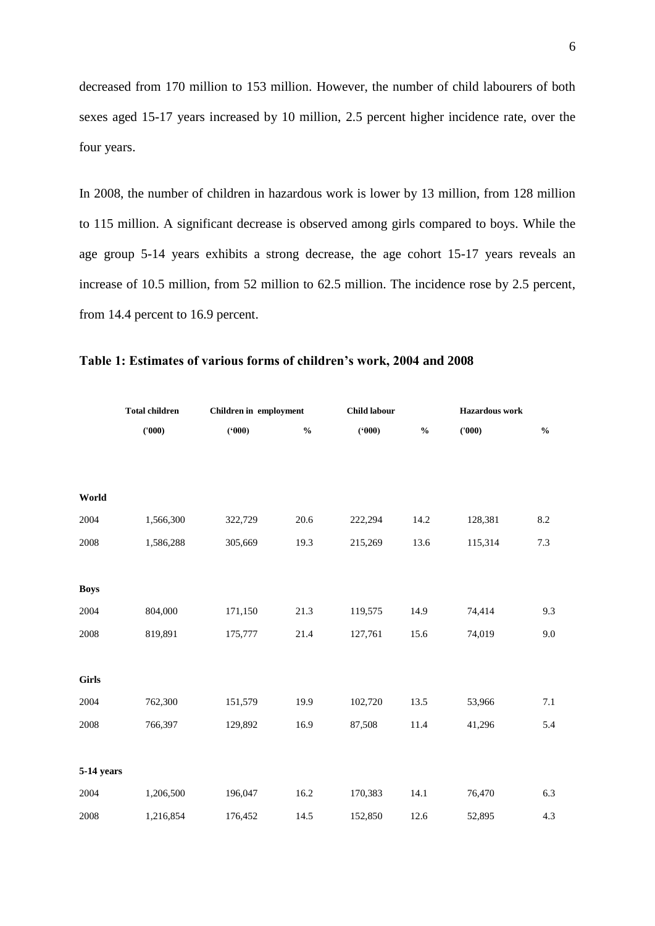decreased from 170 million to 153 million. However, the number of child labourers of both sexes aged 15-17 years increased by 10 million, 2.5 percent higher incidence rate, over the four years.

In 2008, the number of children in hazardous work is lower by 13 million, from 128 million to 115 million. A significant decrease is observed among girls compared to boys. While the age group 5-14 years exhibits a strong decrease, the age cohort 15-17 years reveals an increase of 10.5 million, from 52 million to 62.5 million. The incidence rose by 2.5 percent, from 14.4 percent to 16.9 percent.

|              | <b>Total children</b> | Children in employment |                                    | Child labour |               | <b>Hazardous</b> work |                                    |
|--------------|-----------------------|------------------------|------------------------------------|--------------|---------------|-----------------------|------------------------------------|
|              | (000)                 | (900)                  | $\mathbf{0}_{\mathbf{0}}^{\prime}$ | (900)        | $\frac{0}{0}$ | (000)                 | $\mathbf{0}_{\mathbf{0}}^{\prime}$ |
|              |                       |                        |                                    |              |               |                       |                                    |
|              |                       |                        |                                    |              |               |                       |                                    |
| World        |                       |                        |                                    |              |               |                       |                                    |
| 2004         | 1,566,300             | 322,729                | 20.6                               | 222,294      | 14.2          | 128,381               | $8.2\,$                            |
| 2008         | 1,586,288             | 305,669                | 19.3                               | 215,269      | 13.6          | 115,314               | 7.3                                |
|              |                       |                        |                                    |              |               |                       |                                    |
| <b>Boys</b>  |                       |                        |                                    |              |               |                       |                                    |
| 2004         | 804,000               | 171,150                | 21.3                               | 119,575      | 14.9          | 74,414                | 9.3                                |
| 2008         | 819,891               | 175,777                | 21.4                               | 127,761      | 15.6          | 74,019                | 9.0                                |
|              |                       |                        |                                    |              |               |                       |                                    |
| <b>Girls</b> |                       |                        |                                    |              |               |                       |                                    |
| 2004         | 762,300               | 151,579                | 19.9                               | 102,720      | 13.5          | 53,966                | 7.1                                |
| 2008         | 766,397               | 129,892                | 16.9                               | 87,508       | 11.4          | 41,296                | 5.4                                |
|              |                       |                        |                                    |              |               |                       |                                    |
| 5-14 years   |                       |                        |                                    |              |               |                       |                                    |
| 2004         | 1,206,500             | 196,047                | 16.2                               | 170,383      | 14.1          | 76,470                | 6.3                                |
| 2008         | 1,216,854             | 176,452                | 14.5                               | 152,850      | 12.6          | 52,895                | 4.3                                |

### **Table 1: Estimates of various forms of children's work, 2004 and 2008**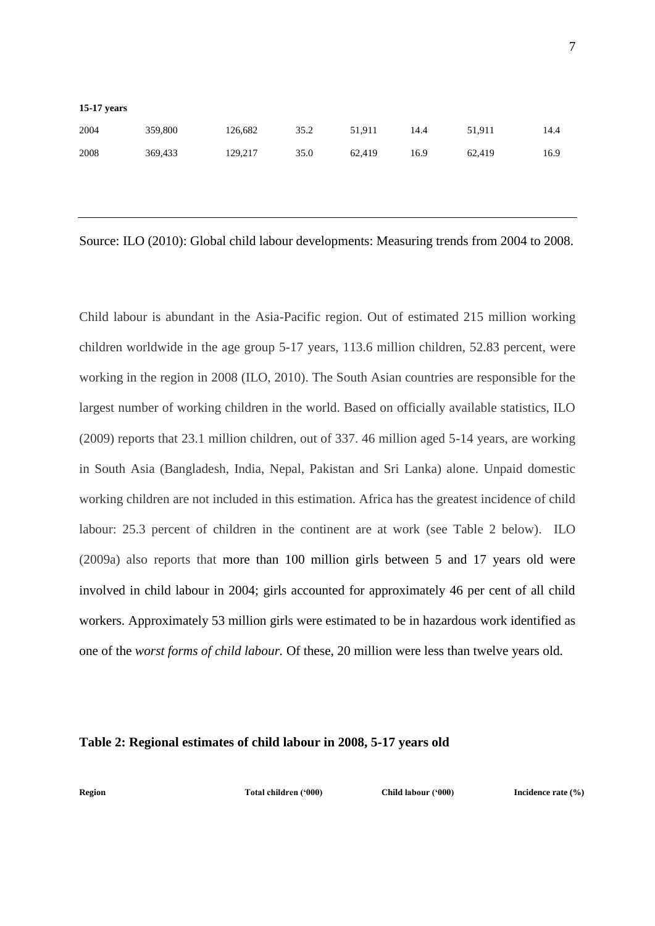| $15-17$ years |         |         |      |        |      |        |      |
|---------------|---------|---------|------|--------|------|--------|------|
| 2004          | 359,800 | 126,682 | 35.2 | 51,911 | 14.4 | 51.911 | 14.4 |
| 2008          | 369,433 | 129.217 | 35.0 | 62.419 | 16.9 | 62.419 | 16.9 |

Source: ILO (2010): Global child labour developments: Measuring trends from 2004 to 2008.

Child labour is abundant in the Asia-Pacific region. Out of estimated 215 million working children worldwide in the age group 5-17 years, 113.6 million children, 52.83 percent, were working in the region in 2008 (ILO, 2010). The South Asian countries are responsible for the largest number of working children in the world. Based on officially available statistics, ILO (2009) reports that 23.1 million children, out of 337. 46 million aged 5-14 years, are working in South Asia (Bangladesh, India, Nepal, Pakistan and Sri Lanka) alone. Unpaid domestic working children are not included in this estimation. Africa has the greatest incidence of child labour: 25.3 percent of children in the continent are at work (see Table 2 below). ILO (2009a) also reports that more than 100 million girls between 5 and 17 years old were involved in child labour in 2004; girls accounted for approximately 46 per cent of all child workers. Approximately 53 million girls were estimated to be in hazardous work identified as one of the *worst forms of child labour.* Of these, 20 million were less than twelve years old.

#### **Table 2: Regional estimates of child labour in 2008, 5-17 years old**

**Region Total children ('000) Child labour ('000) Incidence rate (%)**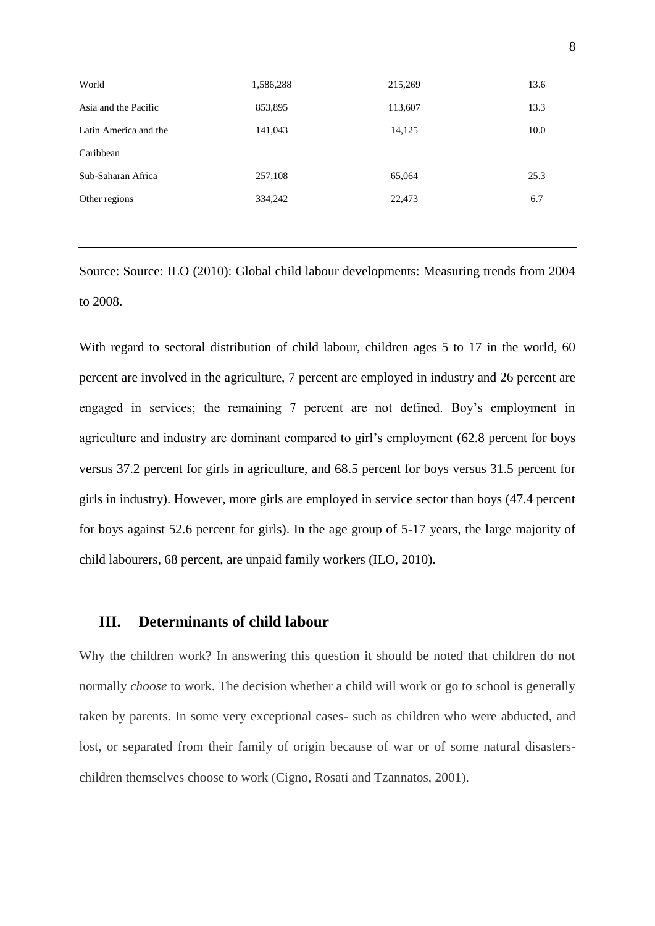| World                 | 1,586,288 | 215,269 | 13.6 |
|-----------------------|-----------|---------|------|
| Asia and the Pacific  | 853,895   | 113,607 | 13.3 |
| Latin America and the | 141,043   | 14,125  | 10.0 |
| Caribbean             |           |         |      |
| Sub-Saharan Africa    | 257,108   | 65,064  | 25.3 |
| Other regions         | 334,242   | 22,473  | 6.7  |
|                       |           |         |      |

Source: Source: ILO (2010): Global child labour developments: Measuring trends from 2004 to 2008.

With regard to sectoral distribution of child labour, children ages 5 to 17 in the world, 60 percent are involved in the agriculture, 7 percent are employed in industry and 26 percent are engaged in services; the remaining 7 percent are not defined. Boy's employment in agriculture and industry are dominant compared to girl's employment (62.8 percent for boys versus 37.2 percent for girls in agriculture, and 68.5 percent for boys versus 31.5 percent for girls in industry). However, more girls are employed in service sector than boys (47.4 percent for boys against 52.6 percent for girls). In the age group of 5-17 years, the large majority of child labourers, 68 percent, are unpaid family workers (ILO, 2010).

### **III. Determinants of child labour**

Why the children work? In answering this question it should be noted that children do not normally *choose* to work. The decision whether a child will work or go to school is generally taken by parents. In some very exceptional cases- such as children who were abducted, and lost, or separated from their family of origin because of war or of some natural disasterschildren themselves choose to work (Cigno, Rosati and Tzannatos, 2001).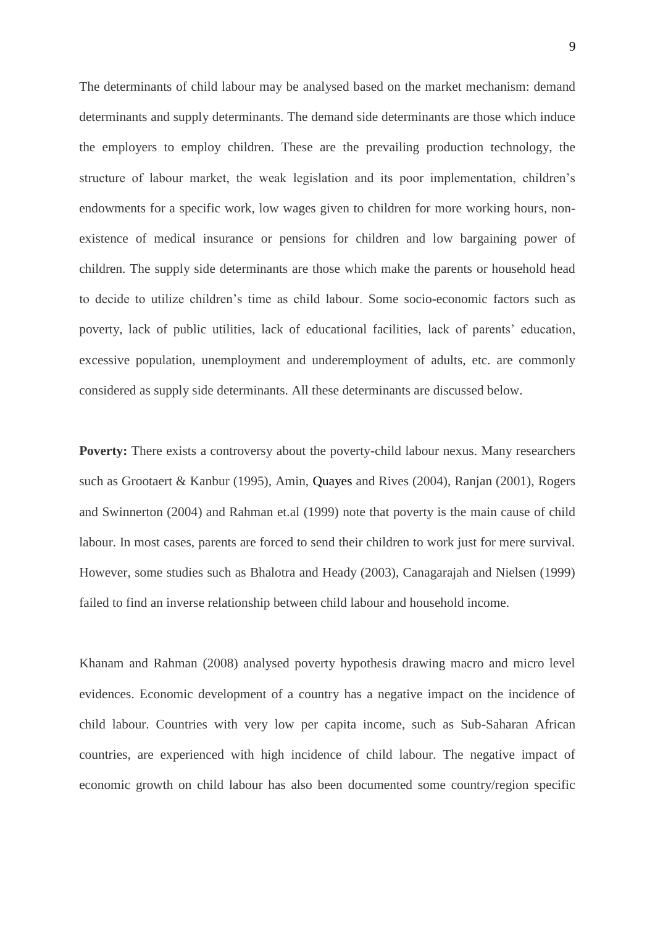The determinants of child labour may be analysed based on the market mechanism: demand determinants and supply determinants. The demand side determinants are those which induce the employers to employ children. These are the prevailing production technology, the structure of labour market, the weak legislation and its poor implementation, children's endowments for a specific work, low wages given to children for more working hours, nonexistence of medical insurance or pensions for children and low bargaining power of children. The supply side determinants are those which make the parents or household head to decide to utilize children's time as child labour. Some socio-economic factors such as poverty, lack of public utilities, lack of educational facilities, lack of parents' education, excessive population, unemployment and underemployment of adults, etc. are commonly considered as supply side determinants. All these determinants are discussed below.

**Poverty:** There exists a controversy about the poverty-child labour nexus. Many researchers such as Grootaert & Kanbur (1995), Amin, Quayes and Rives (2004), Ranjan (2001), Rogers and Swinnerton (2004) and Rahman et.al (1999) note that poverty is the main cause of child labour. In most cases, parents are forced to send their children to work just for mere survival. However, some studies such as Bhalotra and Heady (2003), Canagarajah and Nielsen (1999) failed to find an inverse relationship between child labour and household income.

Khanam and Rahman (2008) analysed poverty hypothesis drawing macro and micro level evidences. Economic development of a country has a negative impact on the incidence of child labour. Countries with very low per capita income, such as Sub-Saharan African countries, are experienced with high incidence of child labour. The negative impact of economic growth on child labour has also been documented some country/region specific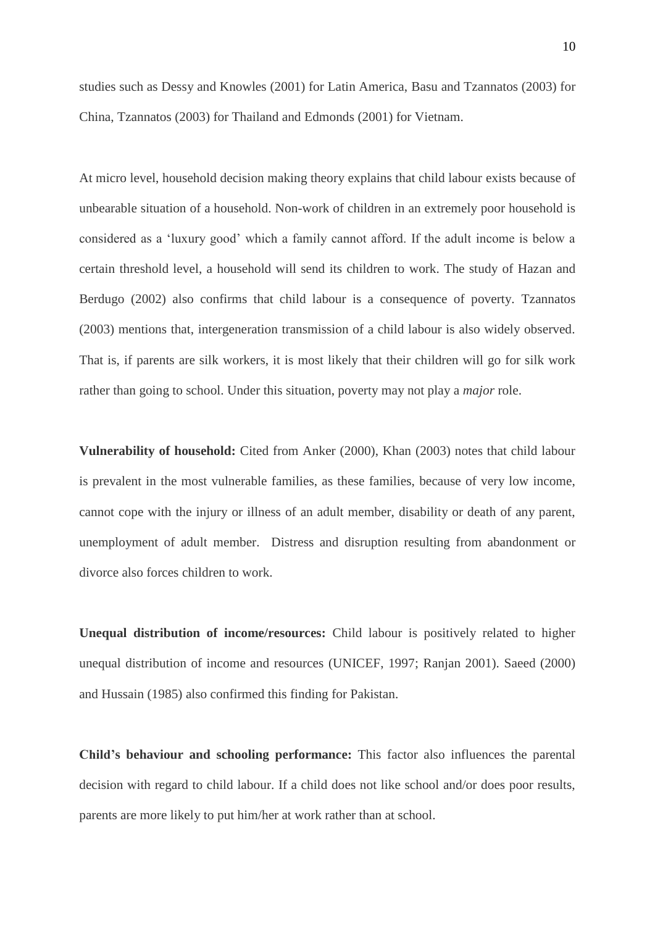studies such as Dessy and Knowles (2001) for Latin America, Basu and Tzannatos (2003) for China, Tzannatos (2003) for Thailand and Edmonds (2001) for Vietnam.

At micro level, household decision making theory explains that child labour exists because of unbearable situation of a household. Non-work of children in an extremely poor household is considered as a 'luxury good' which a family cannot afford. If the adult income is below a certain threshold level, a household will send its children to work. The study of Hazan and Berdugo (2002) also confirms that child labour is a consequence of poverty. Tzannatos (2003) mentions that, intergeneration transmission of a child labour is also widely observed. That is, if parents are silk workers, it is most likely that their children will go for silk work rather than going to school. Under this situation, poverty may not play a *major* role.

**Vulnerability of household:** Cited from Anker (2000), Khan (2003) notes that child labour is prevalent in the most vulnerable families, as these families, because of very low income, cannot cope with the injury or illness of an adult member, disability or death of any parent, unemployment of adult member. Distress and disruption resulting from abandonment or divorce also forces children to work.

**Unequal distribution of income/resources:** Child labour is positively related to higher unequal distribution of income and resources (UNICEF, 1997; Ranjan 2001). Saeed (2000) and Hussain (1985) also confirmed this finding for Pakistan.

**Child's behaviour and schooling performance:** This factor also influences the parental decision with regard to child labour. If a child does not like school and/or does poor results, parents are more likely to put him/her at work rather than at school.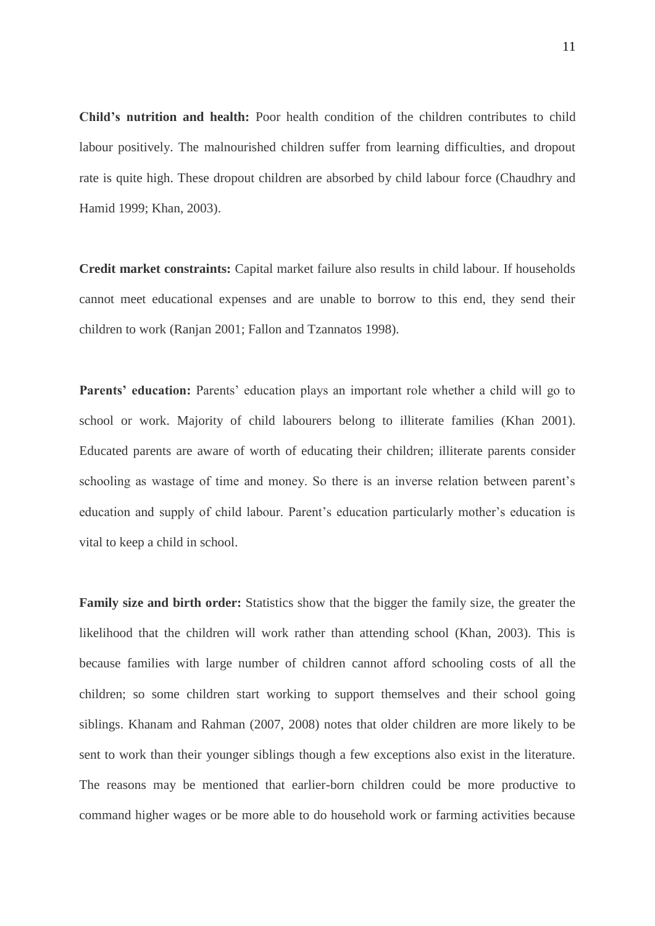**Child's nutrition and health:** Poor health condition of the children contributes to child labour positively. The malnourished children suffer from learning difficulties, and dropout rate is quite high. These dropout children are absorbed by child labour force (Chaudhry and Hamid 1999; Khan, 2003).

**Credit market constraints:** Capital market failure also results in child labour. If households cannot meet educational expenses and are unable to borrow to this end, they send their children to work (Ranjan 2001; Fallon and Tzannatos 1998).

Parents' education: Parents' education plays an important role whether a child will go to school or work. Majority of child labourers belong to illiterate families (Khan 2001). Educated parents are aware of worth of educating their children; illiterate parents consider schooling as wastage of time and money. So there is an inverse relation between parent's education and supply of child labour. Parent's education particularly mother's education is vital to keep a child in school.

**Family size and birth order:** Statistics show that the bigger the family size, the greater the likelihood that the children will work rather than attending school (Khan, 2003). This is because families with large number of children cannot afford schooling costs of all the children; so some children start working to support themselves and their school going siblings. Khanam and Rahman (2007, 2008) notes that older children are more likely to be sent to work than their younger siblings though a few exceptions also exist in the literature. The reasons may be mentioned that earlier-born children could be more productive to command higher wages or be more able to do household work or farming activities because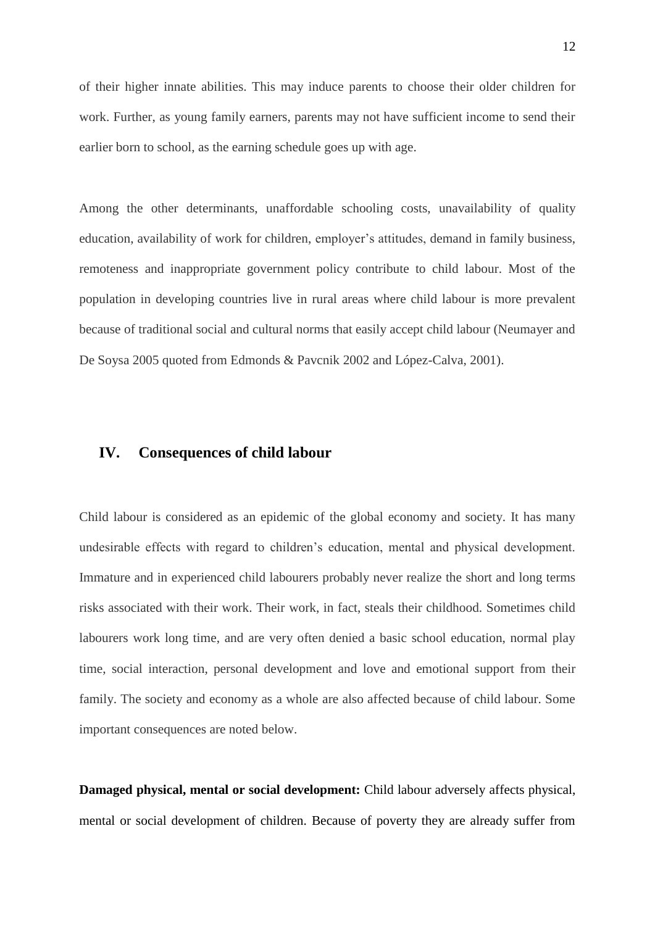of their higher innate abilities. This may induce parents to choose their older children for work. Further, as young family earners, parents may not have sufficient income to send their earlier born to school, as the earning schedule goes up with age.

Among the other determinants, unaffordable schooling costs, unavailability of quality education, availability of work for children, employer's attitudes, demand in family business, remoteness and inappropriate government policy contribute to child labour. Most of the population in developing countries live in rural areas where child labour is more prevalent because of traditional social and cultural norms that easily accept child labour (Neumayer and De Soysa 2005 quoted from Edmonds & Pavcnik 2002 and López-Calva, 2001).

# **IV. Consequences of child labour**

Child labour is considered as an epidemic of the global economy and society. It has many undesirable effects with regard to children's education, mental and physical development. Immature and in experienced child labourers probably never realize the short and long terms risks associated with their work. Their work, in fact, steals their childhood. Sometimes child labourers work long time, and are very often denied a basic school education, normal play time, social interaction, personal development and love and emotional support from their family. The society and economy as a whole are also affected because of child labour. Some important consequences are noted below.

**Damaged physical, mental or social development:** Child labour adversely affects physical, mental or social development of children. Because of poverty they are already suffer from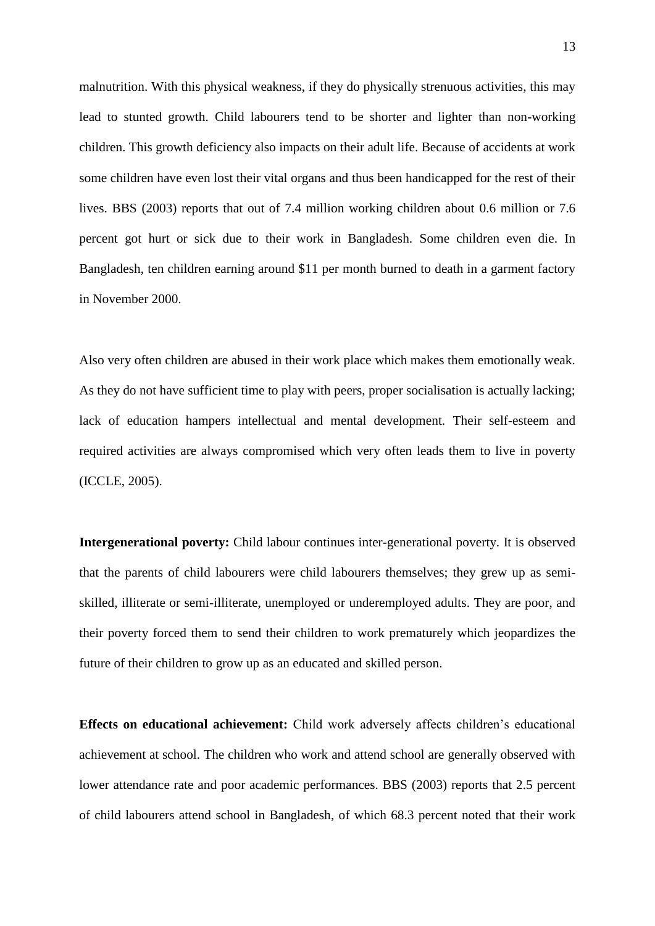malnutrition. With this physical weakness, if they do physically strenuous activities, this may lead to stunted growth. Child labourers tend to be shorter and lighter than non-working children. This growth deficiency also impacts on their adult life. Because of accidents at work some children have even lost their vital organs and thus been handicapped for the rest of their lives. BBS (2003) reports that out of 7.4 million working children about 0.6 million or 7.6 percent got hurt or sick due to their work in Bangladesh. Some children even die. In Bangladesh, ten children earning around \$11 per month burned to death in a garment factory in November 2000.

Also very often children are abused in their work place which makes them emotionally weak. As they do not have sufficient time to play with peers, proper socialisation is actually lacking; lack of education hampers intellectual and mental development. Their self-esteem and required activities are always compromised which very often leads them to live in poverty (ICCLE, 2005).

**Intergenerational poverty:** Child labour continues inter-generational poverty. It is observed that the parents of child labourers were child labourers themselves; they grew up as semiskilled, illiterate or semi-illiterate, unemployed or underemployed adults. They are poor, and their poverty forced them to send their children to work prematurely which jeopardizes the future of their children to grow up as an educated and skilled person.

**Effects on educational achievement:** Child work adversely affects children's educational achievement at school. The children who work and attend school are generally observed with lower attendance rate and poor academic performances. BBS (2003) reports that 2.5 percent of child labourers attend school in Bangladesh, of which 68.3 percent noted that their work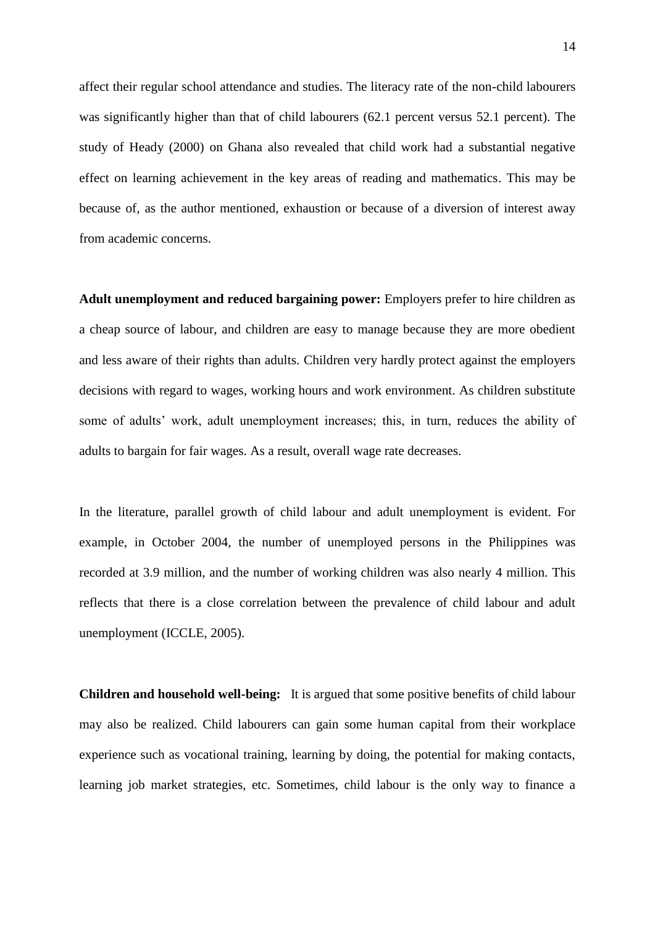affect their regular school attendance and studies. The literacy rate of the non-child labourers was significantly higher than that of child labourers (62.1 percent versus 52.1 percent). The study of Heady (2000) on Ghana also revealed that child work had a substantial negative effect on learning achievement in the key areas of reading and mathematics. This may be because of, as the author mentioned, exhaustion or because of a diversion of interest away from academic concerns.

**Adult unemployment and reduced bargaining power:** Employers prefer to hire children as a cheap source of labour, and children are easy to manage because they are more obedient and less aware of their rights than adults. Children very hardly protect against the employers decisions with regard to wages, working hours and work environment. As children substitute some of adults' work, adult unemployment increases; this, in turn, reduces the ability of adults to bargain for fair wages. As a result, overall wage rate decreases.

In the literature, parallel growth of child labour and adult unemployment is evident. For example, in October 2004, the number of unemployed persons in the Philippines was recorded at 3.9 million, and the number of working children was also nearly 4 million. This reflects that there is a close correlation between the prevalence of child labour and adult unemployment (ICCLE, 2005).

**Children and household well-being:** It is argued that some positive benefits of child labour may also be realized. Child labourers can gain some human capital from their workplace experience such as vocational training, learning by doing, the potential for making contacts, learning job market strategies, etc. Sometimes, child labour is the only way to finance a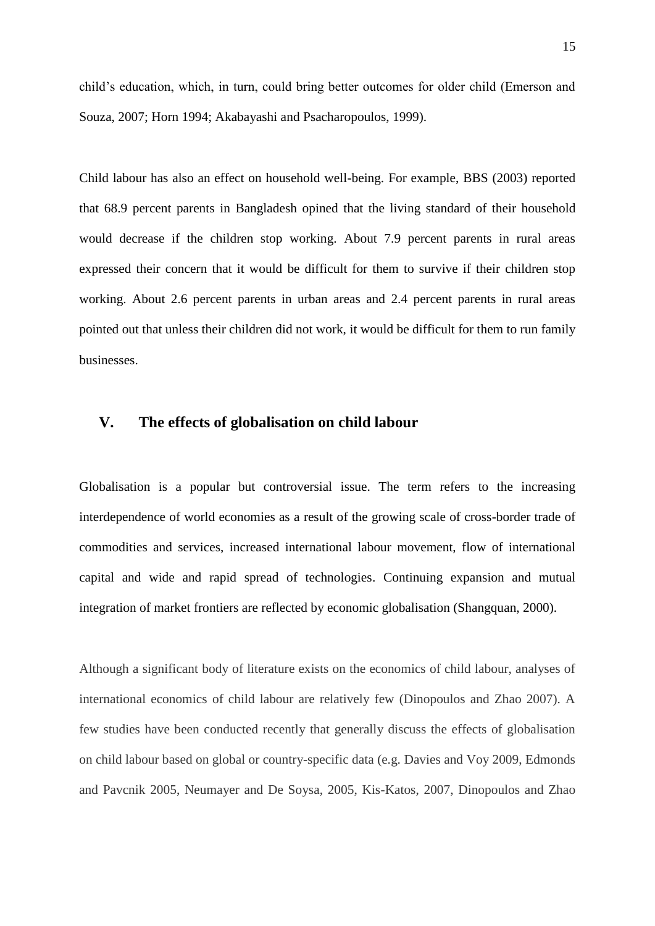child's education, which, in turn, could bring better outcomes for older child (Emerson and Souza, 2007; Horn 1994; Akabayashi and Psacharopoulos, 1999).

Child labour has also an effect on household well-being. For example, BBS (2003) reported that 68.9 percent parents in Bangladesh opined that the living standard of their household would decrease if the children stop working. About 7.9 percent parents in rural areas expressed their concern that it would be difficult for them to survive if their children stop working. About 2.6 percent parents in urban areas and 2.4 percent parents in rural areas pointed out that unless their children did not work, it would be difficult for them to run family businesses.

# **V. The effects of globalisation on child labour**

Globalisation is a popular but controversial issue. The term refers to the increasing interdependence of world economies as a result of the growing scale of cross-border trade of commodities and services, increased international labour movement, flow of international capital and wide and rapid spread of technologies. Continuing expansion and mutual integration of market frontiers are reflected by economic globalisation (Shangquan, 2000).

Although a significant body of literature exists on the economics of child labour, analyses of international economics of child labour are relatively few (Dinopoulos and Zhao 2007). A few studies have been conducted recently that generally discuss the effects of globalisation on child labour based on global or country-specific data (e.g. Davies and Voy 2009, Edmonds and Pavcnik 2005, Neumayer and De Soysa, 2005, Kis-Katos, 2007, Dinopoulos and Zhao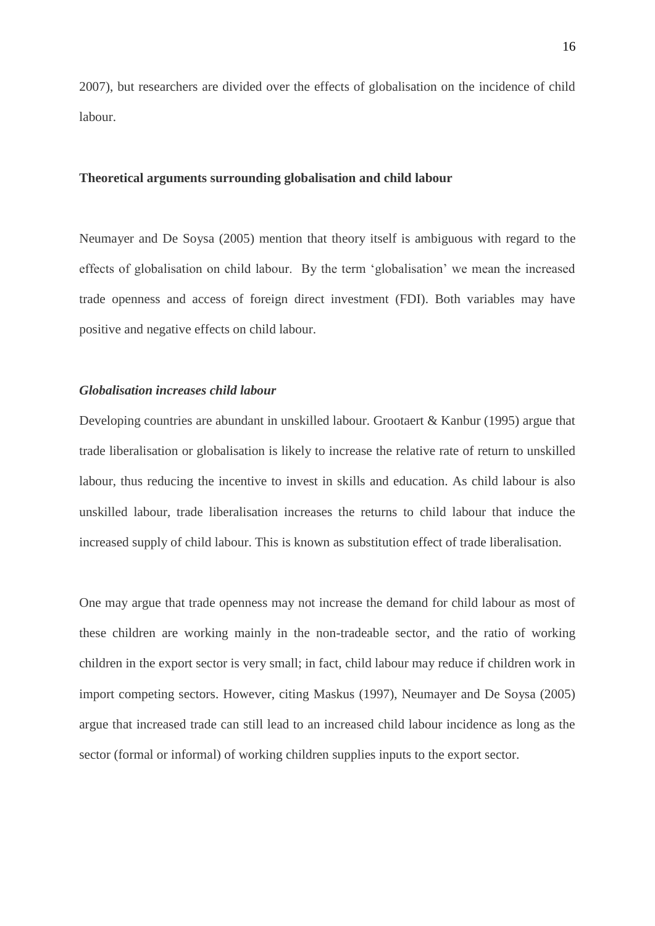2007), but researchers are divided over the effects of globalisation on the incidence of child labour.

#### **Theoretical arguments surrounding globalisation and child labour**

Neumayer and De Soysa (2005) mention that theory itself is ambiguous with regard to the effects of globalisation on child labour. By the term 'globalisation' we mean the increased trade openness and access of foreign direct investment (FDI). Both variables may have positive and negative effects on child labour.

### *Globalisation increases child labour*

Developing countries are abundant in unskilled labour. Grootaert & Kanbur (1995) argue that trade liberalisation or globalisation is likely to increase the relative rate of return to unskilled labour, thus reducing the incentive to invest in skills and education. As child labour is also unskilled labour, trade liberalisation increases the returns to child labour that induce the increased supply of child labour. This is known as substitution effect of trade liberalisation.

One may argue that trade openness may not increase the demand for child labour as most of these children are working mainly in the non-tradeable sector, and the ratio of working children in the export sector is very small; in fact, child labour may reduce if children work in import competing sectors. However, citing Maskus (1997), Neumayer and De Soysa (2005) argue that increased trade can still lead to an increased child labour incidence as long as the sector (formal or informal) of working children supplies inputs to the export sector.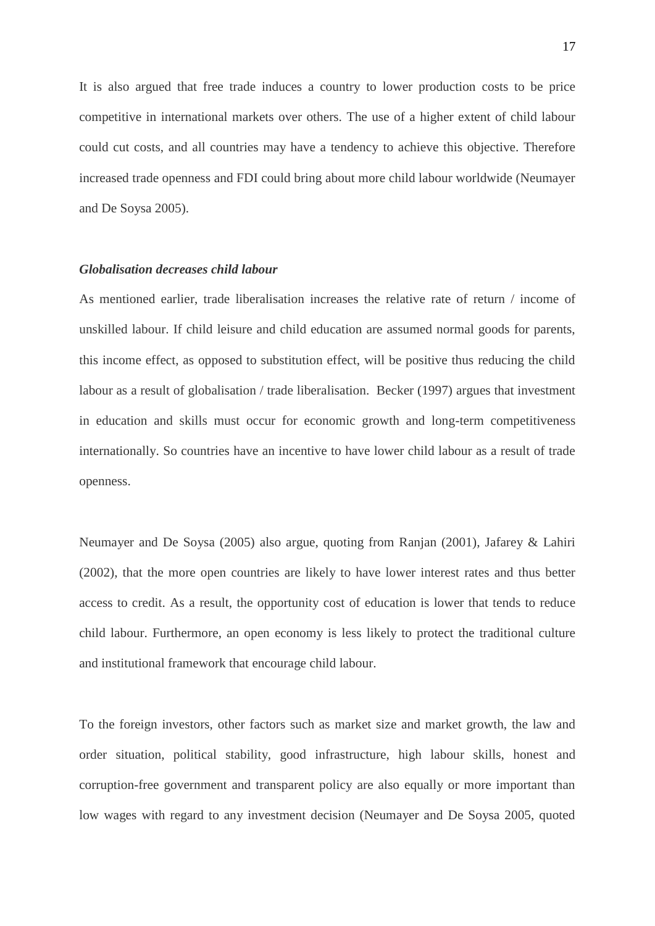It is also argued that free trade induces a country to lower production costs to be price competitive in international markets over others. The use of a higher extent of child labour could cut costs, and all countries may have a tendency to achieve this objective. Therefore increased trade openness and FDI could bring about more child labour worldwide (Neumayer and De Soysa 2005).

#### *Globalisation decreases child labour*

As mentioned earlier, trade liberalisation increases the relative rate of return / income of unskilled labour. If child leisure and child education are assumed normal goods for parents, this income effect, as opposed to substitution effect, will be positive thus reducing the child labour as a result of globalisation / trade liberalisation. Becker (1997) argues that investment in education and skills must occur for economic growth and long-term competitiveness internationally. So countries have an incentive to have lower child labour as a result of trade openness.

Neumayer and De Soysa (2005) also argue, quoting from Ranjan (2001), Jafarey & Lahiri (2002), that the more open countries are likely to have lower interest rates and thus better access to credit. As a result, the opportunity cost of education is lower that tends to reduce child labour. Furthermore, an open economy is less likely to protect the traditional culture and institutional framework that encourage child labour.

To the foreign investors, other factors such as market size and market growth, the law and order situation, political stability, good infrastructure, high labour skills, honest and corruption-free government and transparent policy are also equally or more important than low wages with regard to any investment decision (Neumayer and De Soysa 2005, quoted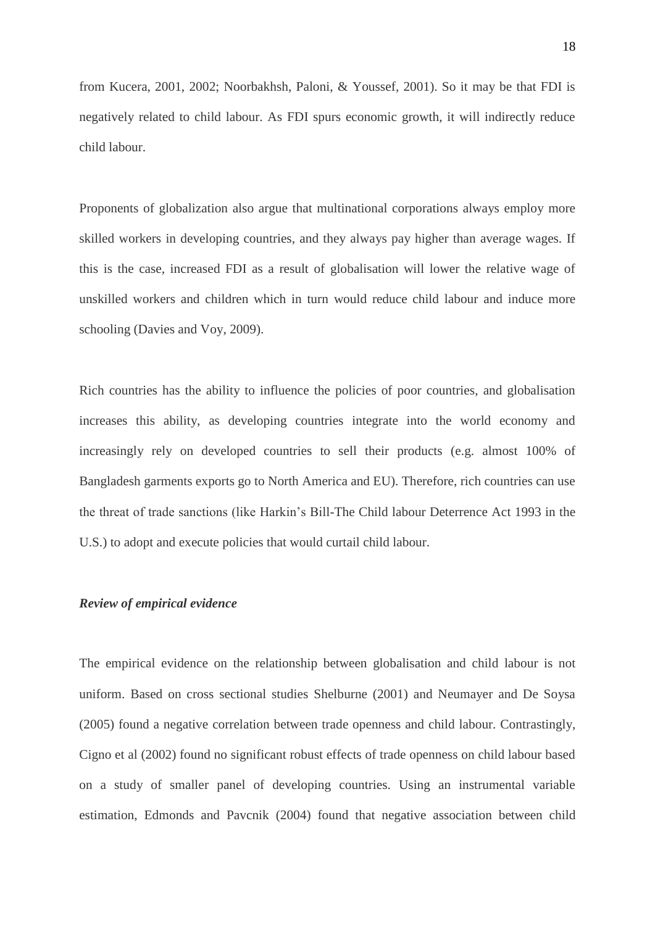from Kucera, 2001, 2002; Noorbakhsh, Paloni, & Youssef, 2001). So it may be that FDI is negatively related to child labour. As FDI spurs economic growth, it will indirectly reduce child labour.

Proponents of globalization also argue that multinational corporations always employ more skilled workers in developing countries, and they always pay higher than average wages. If this is the case, increased FDI as a result of globalisation will lower the relative wage of unskilled workers and children which in turn would reduce child labour and induce more schooling (Davies and Voy, 2009).

Rich countries has the ability to influence the policies of poor countries, and globalisation increases this ability, as developing countries integrate into the world economy and increasingly rely on developed countries to sell their products (e.g. almost 100% of Bangladesh garments exports go to North America and EU). Therefore, rich countries can use the threat of trade sanctions (like Harkin's Bill-The Child labour Deterrence Act 1993 in the U.S.) to adopt and execute policies that would curtail child labour.

#### *Review of empirical evidence*

The empirical evidence on the relationship between globalisation and child labour is not uniform. Based on cross sectional studies Shelburne (2001) and Neumayer and De Soysa (2005) found a negative correlation between trade openness and child labour. Contrastingly, Cigno et al (2002) found no significant robust effects of trade openness on child labour based on a study of smaller panel of developing countries. Using an instrumental variable estimation, Edmonds and Pavcnik (2004) found that negative association between child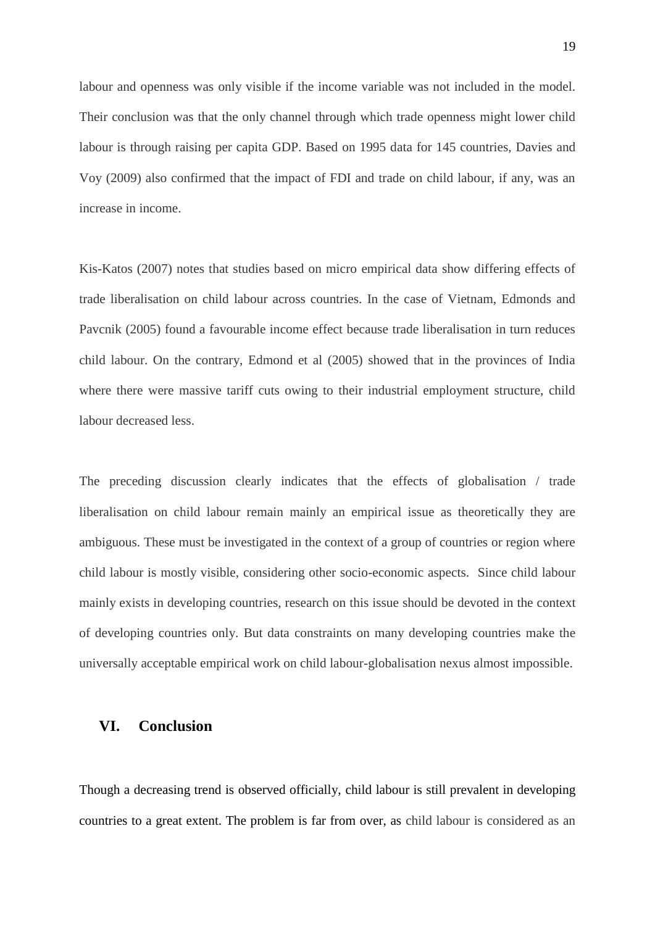labour and openness was only visible if the income variable was not included in the model. Their conclusion was that the only channel through which trade openness might lower child labour is through raising per capita GDP. Based on 1995 data for 145 countries, Davies and Voy (2009) also confirmed that the impact of FDI and trade on child labour, if any, was an increase in income.

Kis-Katos (2007) notes that studies based on micro empirical data show differing effects of trade liberalisation on child labour across countries. In the case of Vietnam, Edmonds and Pavcnik (2005) found a favourable income effect because trade liberalisation in turn reduces child labour. On the contrary, Edmond et al (2005) showed that in the provinces of India where there were massive tariff cuts owing to their industrial employment structure, child labour decreased less.

The preceding discussion clearly indicates that the effects of globalisation / trade liberalisation on child labour remain mainly an empirical issue as theoretically they are ambiguous. These must be investigated in the context of a group of countries or region where child labour is mostly visible, considering other socio-economic aspects. Since child labour mainly exists in developing countries, research on this issue should be devoted in the context of developing countries only. But data constraints on many developing countries make the universally acceptable empirical work on child labour-globalisation nexus almost impossible.

### **VI. Conclusion**

Though a decreasing trend is observed officially, child labour is still prevalent in developing countries to a great extent. The problem is far from over, as child labour is considered as an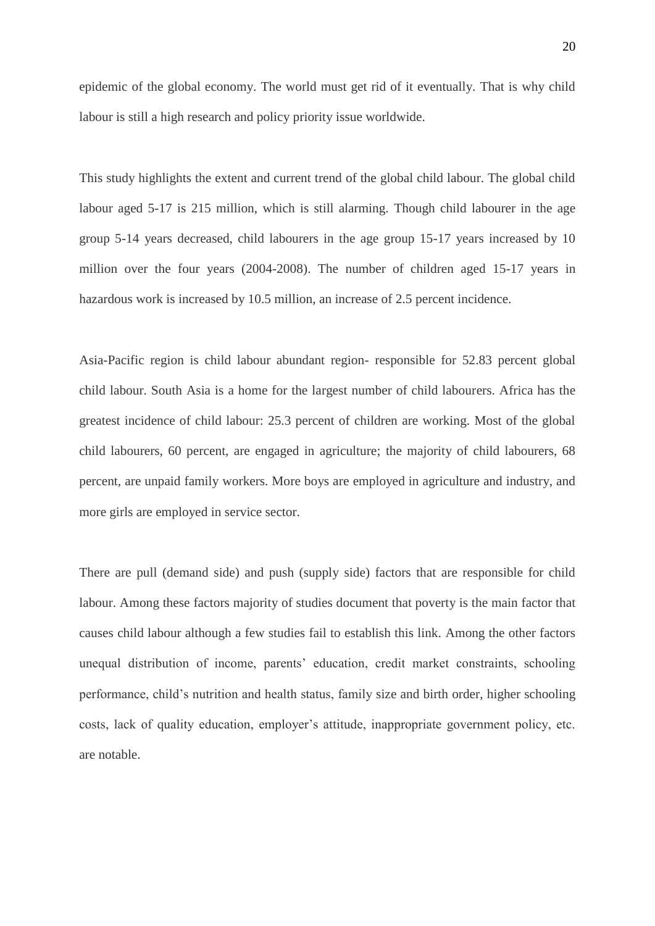epidemic of the global economy. The world must get rid of it eventually. That is why child labour is still a high research and policy priority issue worldwide.

This study highlights the extent and current trend of the global child labour. The global child labour aged 5-17 is 215 million, which is still alarming. Though child labourer in the age group 5-14 years decreased, child labourers in the age group 15-17 years increased by 10 million over the four years (2004-2008). The number of children aged 15-17 years in hazardous work is increased by 10.5 million, an increase of 2.5 percent incidence.

Asia-Pacific region is child labour abundant region- responsible for 52.83 percent global child labour. South Asia is a home for the largest number of child labourers. Africa has the greatest incidence of child labour: 25.3 percent of children are working. Most of the global child labourers, 60 percent, are engaged in agriculture; the majority of child labourers, 68 percent, are unpaid family workers. More boys are employed in agriculture and industry, and more girls are employed in service sector.

There are pull (demand side) and push (supply side) factors that are responsible for child labour. Among these factors majority of studies document that poverty is the main factor that causes child labour although a few studies fail to establish this link. Among the other factors unequal distribution of income, parents' education, credit market constraints, schooling performance, child's nutrition and health status, family size and birth order, higher schooling costs, lack of quality education, employer's attitude, inappropriate government policy, etc. are notable.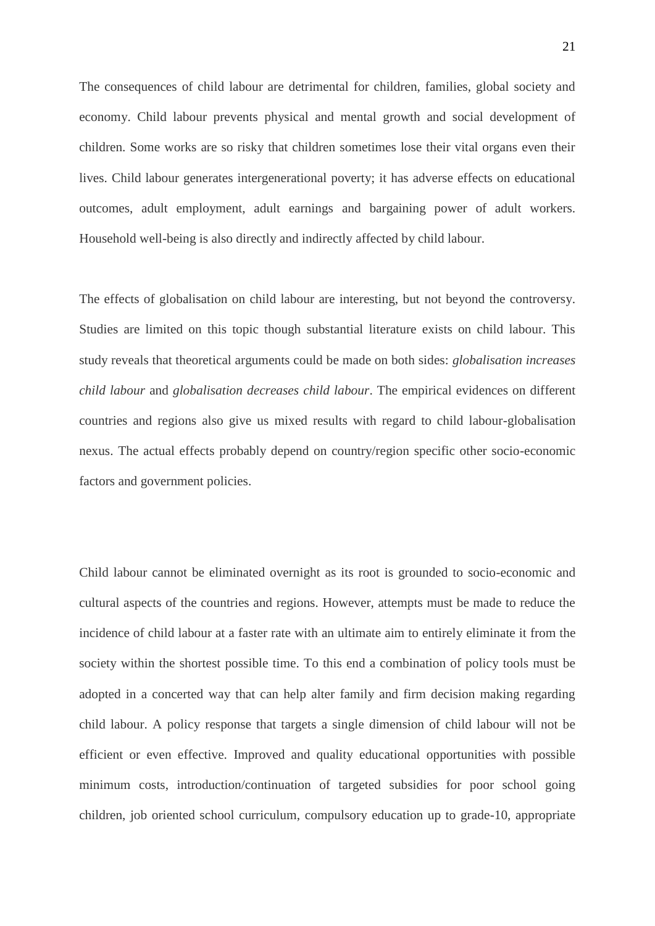The consequences of child labour are detrimental for children, families, global society and economy. Child labour prevents physical and mental growth and social development of children. Some works are so risky that children sometimes lose their vital organs even their lives. Child labour generates intergenerational poverty; it has adverse effects on educational outcomes, adult employment, adult earnings and bargaining power of adult workers. Household well-being is also directly and indirectly affected by child labour.

The effects of globalisation on child labour are interesting, but not beyond the controversy. Studies are limited on this topic though substantial literature exists on child labour. This study reveals that theoretical arguments could be made on both sides: *globalisation increases child labour* and *globalisation decreases child labour*. The empirical evidences on different countries and regions also give us mixed results with regard to child labour-globalisation nexus. The actual effects probably depend on country/region specific other socio-economic factors and government policies.

Child labour cannot be eliminated overnight as its root is grounded to socio-economic and cultural aspects of the countries and regions. However, attempts must be made to reduce the incidence of child labour at a faster rate with an ultimate aim to entirely eliminate it from the society within the shortest possible time. To this end a combination of policy tools must be adopted in a concerted way that can help alter family and firm decision making regarding child labour. A policy response that targets a single dimension of child labour will not be efficient or even effective. Improved and quality educational opportunities with possible minimum costs, introduction/continuation of targeted subsidies for poor school going children, job oriented school curriculum, compulsory education up to grade-10, appropriate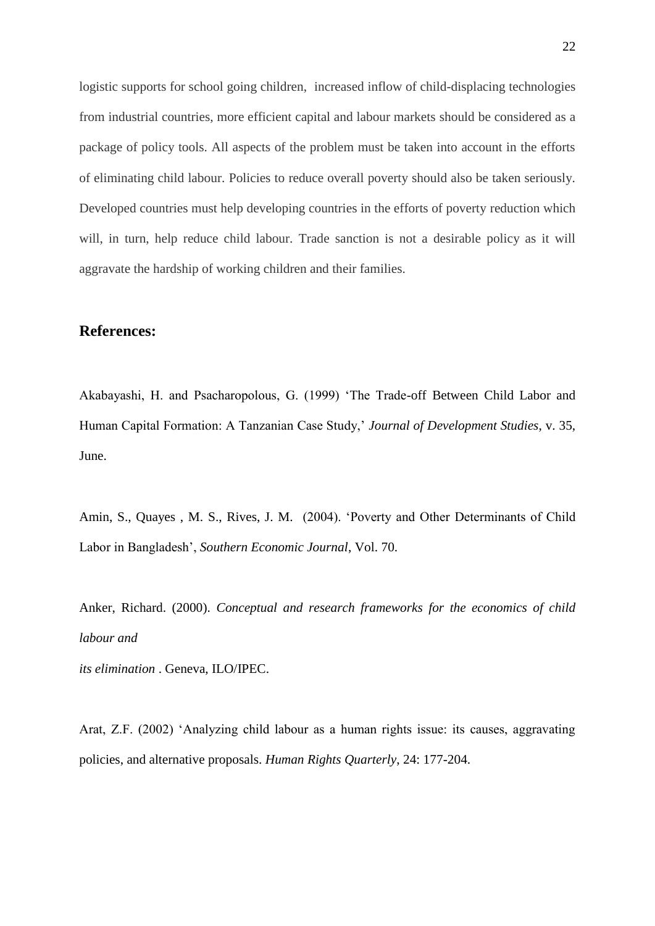logistic supports for school going children, increased inflow of child-displacing technologies from industrial countries, more efficient capital and labour markets should be considered as a package of policy tools. All aspects of the problem must be taken into account in the efforts of eliminating child labour. Policies to reduce overall poverty should also be taken seriously. Developed countries must help developing countries in the efforts of poverty reduction which will, in turn, help reduce child labour. Trade sanction is not a desirable policy as it will aggravate the hardship of working children and their families.

## **References:**

Akabayashi, H. and Psacharopolous, G. (1999) 'The Trade-off Between Child Labor and Human Capital Formation: A Tanzanian Case Study,' *Journal of Development Studies*, v. 35, June.

Amin, S., Quayes , M. S., Rives, J. M. (2004). 'Poverty and Other Determinants of Child Labor in Bangladesh', *Southern Economic Journal*, Vol. 70.

Anker, Richard. (2000). *Conceptual and research frameworks for the economics of child labour and*

*its elimination* . Geneva, ILO/IPEC.

Arat, Z.F. (2002) 'Analyzing child labour as a human rights issue: its causes, aggravating policies, and alternative proposals. *Human Rights Quarterly*, 24: 177-204.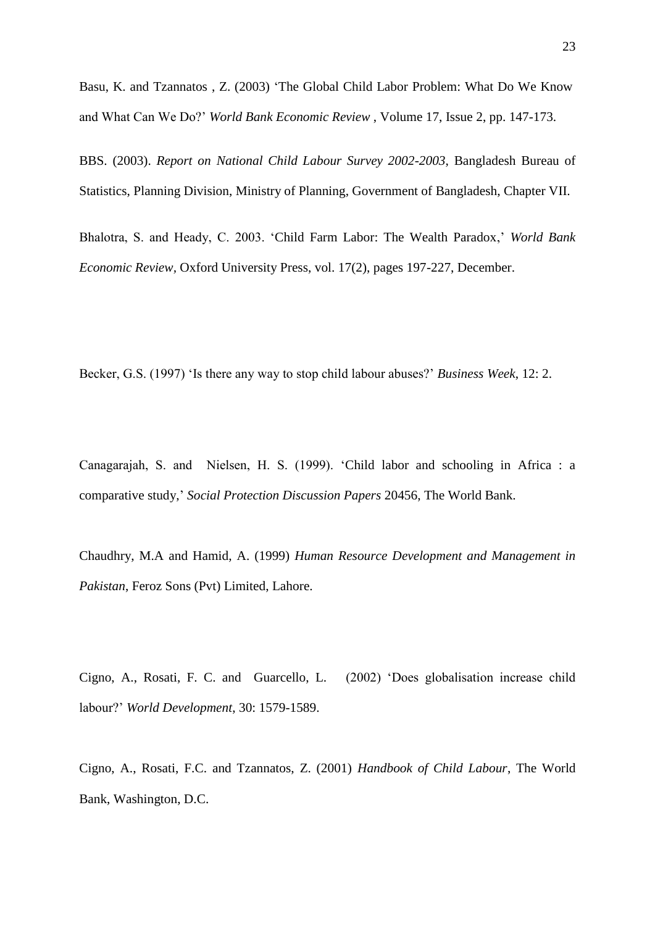[Basu,](http://wber.oxfordjournals.org/search?author1=Kaushik+Basu&sortspec=date&submit=Submit) K. and [Tzannatos](http://wber.oxfordjournals.org/search?author1=Zafiris+Tzannatos&sortspec=date&submit=Submit) , Z. (2003) 'The Global Child Labor Problem: What Do We Know and What Can We Do?' *[World Bank Economic Review](http://wber.oxfordjournals.org/)* , [Volume 17,](http://wber.oxfordjournals.org/content/17/2.toc) Issue 2, pp. 147-173.

BBS. (2003). *Report on National Child Labour Survey 2002-2003*, Bangladesh Bureau of Statistics, Planning Division, Ministry of Planning, Government of Bangladesh, Chapter VII.

Bhalotra, S. and Heady, C. 2003. ['Child Farm Labor: The Wealth Paradox,](http://ideas.repec.org/a/oup/wbecrv/v17y2003i2p197-227.html)' *[World Bank](http://ideas.repec.org/s/oup/wbecrv.html)  [Economic Review,](http://ideas.repec.org/s/oup/wbecrv.html)* Oxford University Press, vol. 17(2), pages 197-227, December.

Becker, G.S. (1997) 'Is there any way to stop child labour abuses?' *Business Week*, 12: 2.

Canagarajah, S. and Nielsen, H. S. (1999). ['Child labor and schooling in Africa : a](http://ideas.repec.org/p/wbk/hdnspu/20456.html)  [comparative study,](http://ideas.repec.org/p/wbk/hdnspu/20456.html)' *[Social Protection Discussion Papers](http://ideas.repec.org/s/wbk/hdnspu.html)* 20456, The World Bank.

Chaudhry, M.A and Hamid, A. (1999) *Human Resource Development and Management in Pakistan*, Feroz Sons (Pvt) Limited, Lahore.

Cigno, A., Rosati, F. C. and Guarcello, L. (2002) 'Does globalisation increase child labour?' *World Development*, 30: 1579-1589.

Cigno, A., Rosati, F.C. and Tzannatos, Z. (2001) *Handbook of Child Labour*, The World Bank, Washington, D.C.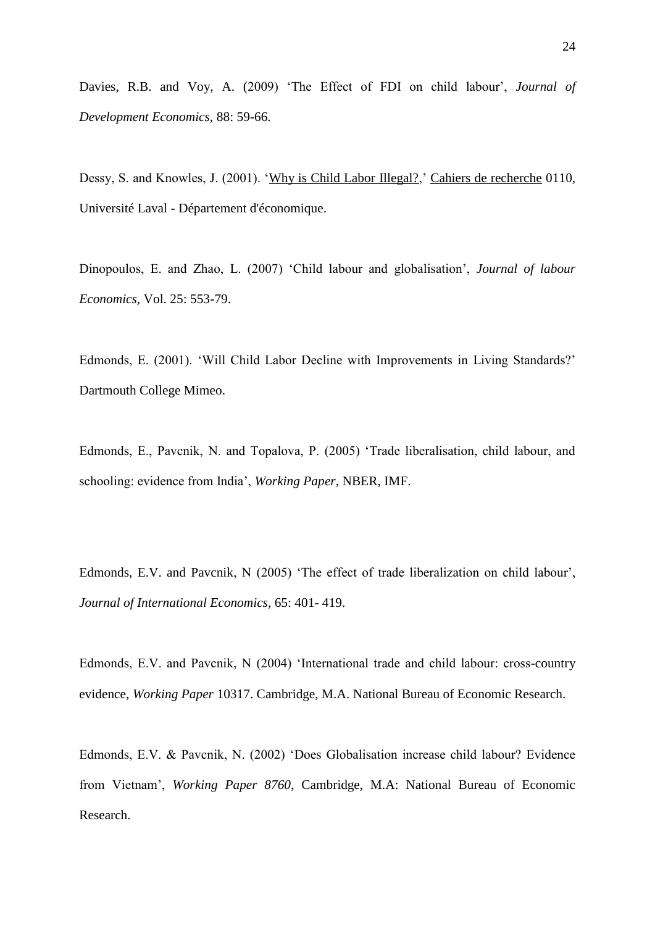Davies, R.B. and Voy, A. (2009) 'The Effect of FDI on child labour', *Journal of Development Economics,* 88: 59-66.

Dessy, S. and Knowles, J. (2001). ['Why is Child Labor Illegal?,](http://ideas.repec.org/p/lvl/laeccr/0110.html)' [Cahiers de recherche](http://ideas.repec.org/s/lvl/laeccr.html) 0110, Université Laval - Département d'économique.

Dinopoulos, E. and Zhao, L. (2007) 'Child labour and globalisation', *Journal of labour Economics,* Vol. 25: 553-79.

Edmonds, E. (2001). 'Will Child Labor Decline with Improvements in Living Standards?' Dartmouth College Mimeo.

Edmonds, E., Pavcnik, N. and Topalova, P. (2005) 'Trade liberalisation, child labour, and schooling: evidence from India', *Working Paper*, NBER, IMF.

Edmonds, E.V. and Pavcnik, N (2005) 'The effect of trade liberalization on child labour', *Journal of International Economics*, 65: 401- 419.

Edmonds, E.V. and Pavcnik, N (2004) 'International trade and child labour: cross-country evidence, *Working Paper* 10317. Cambridge, M.A. National Bureau of Economic Research.

Edmonds, E.V. & Pavcnik, N. (2002) 'Does Globalisation increase child labour? Evidence from Vietnam', *Working Paper 8760*, Cambridge, M.A: National Bureau of Economic Research.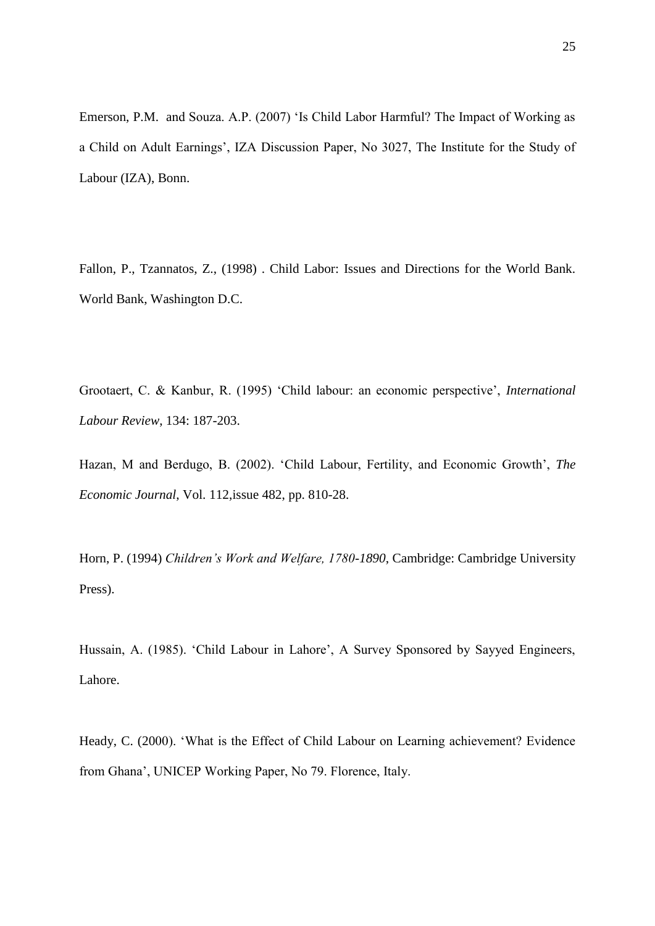Emerson, P.M. and Souza. A.P. (2007) 'Is Child Labor Harmful? The Impact of Working as a Child on Adult Earnings', IZA Discussion Paper, No 3027, The Institute for the Study of Labour (IZA), Bonn.

Fallon, P., Tzannatos, Z., (1998) . Child Labor: Issues and Directions for the World Bank. World Bank, Washington D.C.

Grootaert, C. & Kanbur, R. (1995) 'Child labour: an economic perspective', *International Labour Review*, 134: 187-203.

Hazan, M and Berdugo, B. (2002). 'Child Labour, Fertility, and Economic Growth', *The Economic Journal*, Vol. 112,issue 482, pp. 810-28.

Horn, P. (1994) *Children's Work and Welfare, 1780-1890*, Cambridge: Cambridge University Press).

Hussain, A. (1985). 'Child Labour in Lahore', A Survey Sponsored by Sayyed Engineers, Lahore.

Heady, C. (2000). 'What is the Effect of Child Labour on Learning achievement? Evidence from Ghana', UNICEP Working Paper, No 79. Florence, Italy.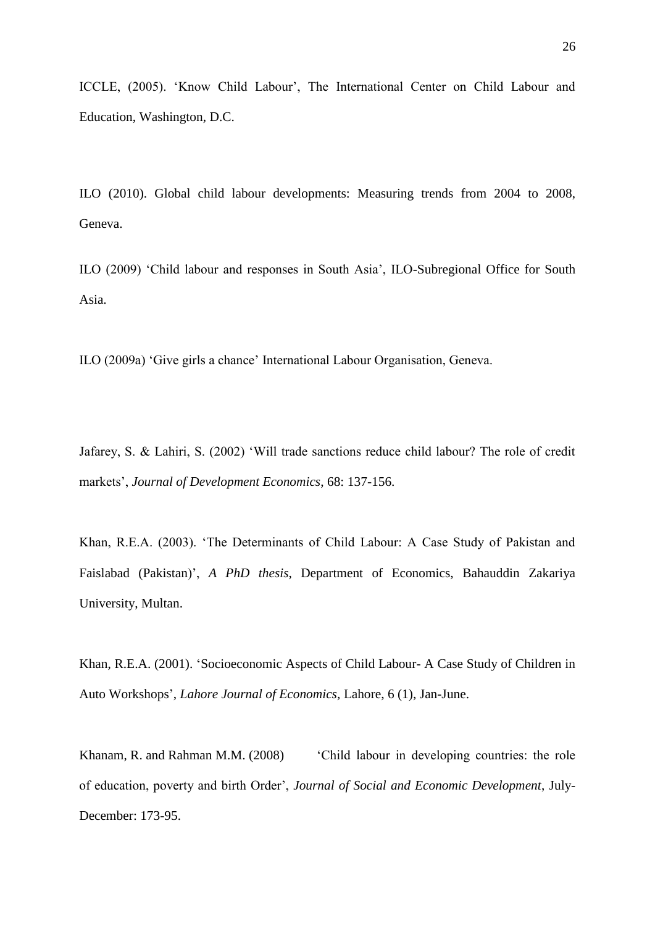ICCLE, (2005). 'Know Child Labour', The International Center on Child Labour and Education, Washington, D.C.

ILO (2010). Global child labour developments: Measuring trends from 2004 to 2008, Geneva.

ILO (2009) 'Child labour and responses in South Asia', ILO-Subregional Office for South Asia.

ILO (2009a) 'Give girls a chance' International Labour Organisation, Geneva.

Jafarey, S. & Lahiri, S. (2002) 'Will trade sanctions reduce child labour? The role of credit markets', *Journal of Development Economics*, 68: 137-156.

Khan, R.E.A. (2003). 'The Determinants of Child Labour: A Case Study of Pakistan and Faislabad (Pakistan)', *A PhD thesis*, Department of Economics, Bahauddin Zakariya University, Multan.

Khan, R.E.A. (2001). 'Socioeconomic Aspects of Child Labour- A Case Study of Children in Auto Workshops', *Lahore Journal of Economics,* Lahore, 6 (1), Jan-June.

Khanam, R. and Rahman M.M. (2008) 'Child labour in developing countries: the role of education, poverty and birth Order', *Journal of Social and Economic Development*, July-December: 173-95.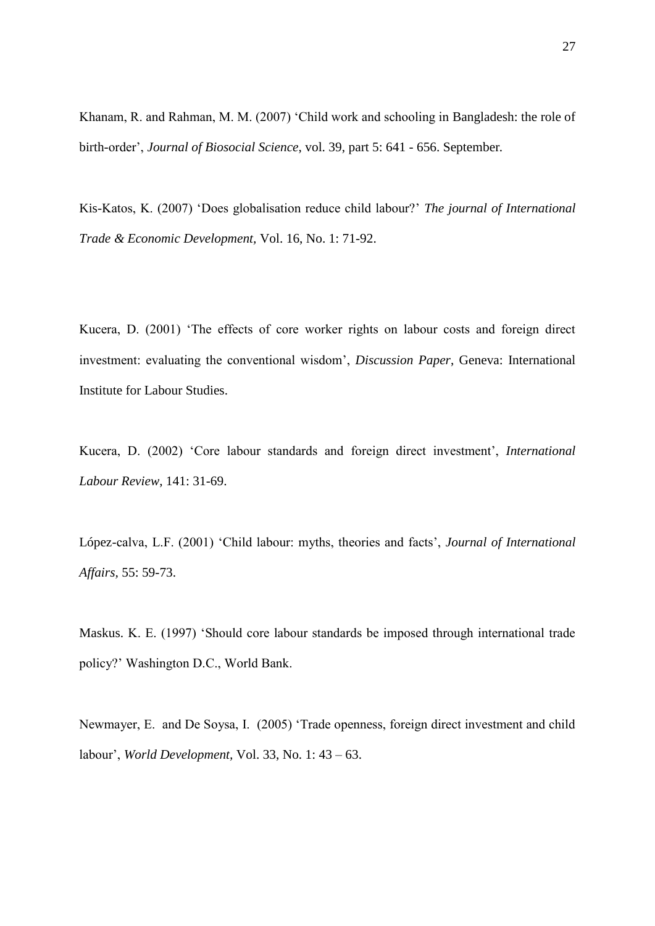Khanam, R. and Rahman, M. M. (2007) 'Child work and schooling in Bangladesh: the role of birth-order', *Journal of Biosocial Science*, vol. 39, part 5: 641 - 656. September*.* 

Kis-Katos, K. (2007) 'Does globalisation reduce child labour?' *The journal of International Trade & Economic Development,* Vol. 16, No. 1: 71-92.

Kucera, D. (2001) 'The effects of core worker rights on labour costs and foreign direct investment: evaluating the conventional wisdom', *Discussion Paper*, Geneva: International Institute for Labour Studies.

Kucera, D. (2002) 'Core labour standards and foreign direct investment', *International Labour Review*, 141: 31-69.

López-calva, L.F. (2001) 'Child labour: myths, theories and facts', *Journal of International Affairs,* 55: 59-73.

Maskus. K. E. (1997) 'Should core labour standards be imposed through international trade policy?' Washington D.C., World Bank.

Newmayer, E. and De Soysa, I. (2005) 'Trade openness, foreign direct investment and child labour', *World Development,* Vol. 33, No. 1: 43 – 63.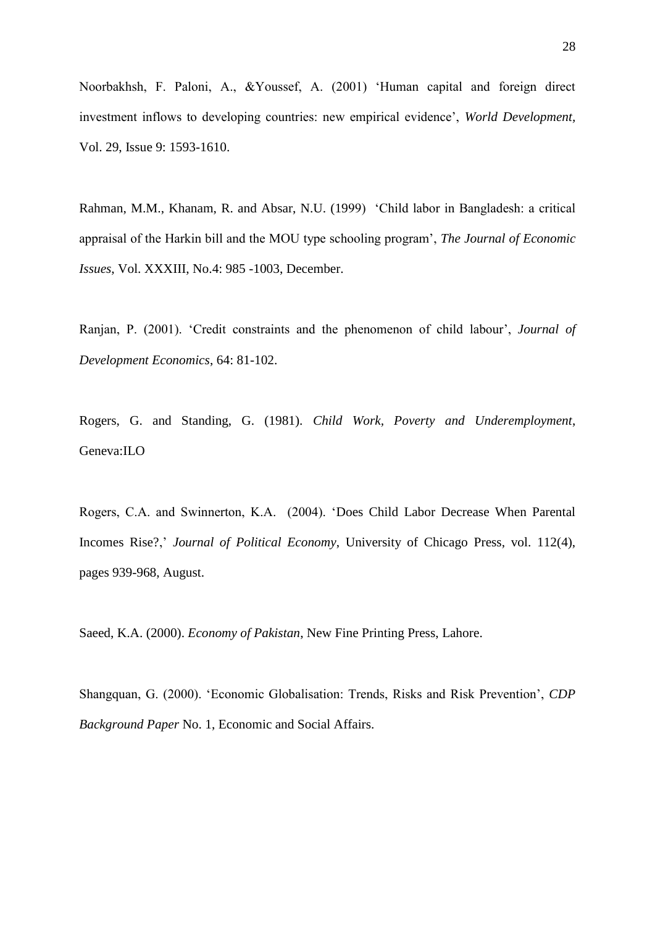Noorbakhsh, F. Paloni, A., &Youssef, A. (2001) 'Human capital and foreign direct investment inflows to developing countries: new empirical evidence', *World Development,* Vol. 29, Issue 9: 1593-1610.

Rahman, M.M., Khanam, R. and Absar, N.U. (1999) 'Child labor in Bangladesh: a critical appraisal of the Harkin bill and the MOU type schooling program', *The Journal of Economic Issues*, Vol. XXXIII, No.4: 985 -1003, December.

Ranjan, P. (2001). 'Credit constraints and the phenomenon of child labour', *Journal of Development Economics*, 64: 81-102.

Rogers, G. and Standing, G. (1981). *Child Work, Poverty and Underemployment*, Geneva:ILO

Rogers, C.A. and Swinnerton, K.A. (2004). ['Does Child Labor Decrease When Parental](http://ideas.repec.org/a/ucp/jpolec/v112y2004i4p939-968.html)  [Incomes Rise?,](http://ideas.repec.org/a/ucp/jpolec/v112y2004i4p939-968.html)' *[Journal of Political Economy](http://ideas.repec.org/s/ucp/jpolec.html)*, University of Chicago Press, vol. 112(4), pages 939-968, August.

Saeed, K.A. (2000). *Economy of Pakistan*, New Fine Printing Press, Lahore.

Shangquan, G. (2000). 'Economic Globalisation: Trends, Risks and Risk Prevention', *CDP Background Paper* No. 1, Economic and Social Affairs.